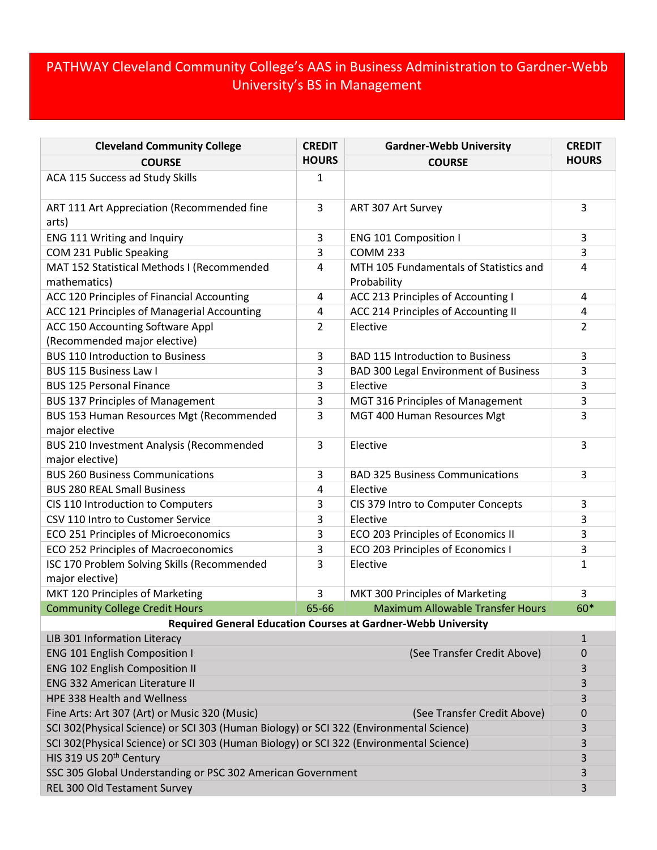## PATHWAY Cleveland Community College's AAS in Business Administration to Gardner-Webb University's BS in Management

| <b>Cleveland Community College</b>                                                      | <b>CREDIT</b>  | <b>Gardner-Webb University</b>          | <b>CREDIT</b> |  |
|-----------------------------------------------------------------------------------------|----------------|-----------------------------------------|---------------|--|
| <b>COURSE</b>                                                                           | <b>HOURS</b>   | <b>COURSE</b>                           | <b>HOURS</b>  |  |
| ACA 115 Success ad Study Skills                                                         | $\mathbf{1}$   |                                         |               |  |
| ART 111 Art Appreciation (Recommended fine<br>arts)                                     | 3              | ART 307 Art Survey                      | 3             |  |
| ENG 111 Writing and Inquiry                                                             | 3              | <b>ENG 101 Composition I</b>            | 3             |  |
| COM 231 Public Speaking                                                                 | 3              | <b>COMM 233</b>                         | 3             |  |
| MAT 152 Statistical Methods I (Recommended                                              | $\overline{4}$ | MTH 105 Fundamentals of Statistics and  | 4             |  |
| mathematics)                                                                            |                | Probability                             |               |  |
| ACC 120 Principles of Financial Accounting                                              | 4              | ACC 213 Principles of Accounting I      | 4             |  |
| ACC 121 Principles of Managerial Accounting                                             | 4              | ACC 214 Principles of Accounting II     | 4             |  |
| ACC 150 Accounting Software Appl                                                        | $\overline{2}$ | Elective                                | 2             |  |
| (Recommended major elective)                                                            |                |                                         |               |  |
| <b>BUS 110 Introduction to Business</b>                                                 | 3              | <b>BAD 115 Introduction to Business</b> | 3             |  |
| <b>BUS 115 Business Law I</b>                                                           | 3              | BAD 300 Legal Environment of Business   | 3             |  |
| <b>BUS 125 Personal Finance</b>                                                         | 3              | Elective                                | 3             |  |
| <b>BUS 137 Principles of Management</b>                                                 | 3              | MGT 316 Principles of Management        | 3             |  |
| BUS 153 Human Resources Mgt (Recommended<br>major elective                              | 3              | MGT 400 Human Resources Mgt             | 3             |  |
| BUS 210 Investment Analysis (Recommended                                                | 3              | Elective                                | 3             |  |
| major elective)                                                                         |                |                                         |               |  |
| <b>BUS 260 Business Communications</b>                                                  | 3              | <b>BAD 325 Business Communications</b>  | 3             |  |
| <b>BUS 280 REAL Small Business</b>                                                      | 4              | Elective                                |               |  |
| CIS 110 Introduction to Computers                                                       | 3              | CIS 379 Intro to Computer Concepts      | 3             |  |
| CSV 110 Intro to Customer Service                                                       | 3              | Elective                                | 3             |  |
| ECO 251 Principles of Microeconomics                                                    | 3              | ECO 203 Principles of Economics II      | 3             |  |
| ECO 252 Principles of Macroeconomics                                                    | 3              | ECO 203 Principles of Economics I       | 3             |  |
| ISC 170 Problem Solving Skills (Recommended                                             | 3              | Elective                                | 1             |  |
| major elective)                                                                         |                |                                         |               |  |
| MKT 120 Principles of Marketing                                                         | 3              | MKT 300 Principles of Marketing         | 3             |  |
| <b>Community College Credit Hours</b>                                                   | 65-66          | <b>Maximum Allowable Transfer Hours</b> | 60*           |  |
| <b>Required General Education Courses at Gardner-Webb University</b>                    |                |                                         |               |  |
| LIB 301 Information Literacy                                                            |                |                                         | $\mathbf{1}$  |  |
| <b>ENG 101 English Composition I</b>                                                    |                | (See Transfer Credit Above)             | $\mathbf 0$   |  |
| <b>ENG 102 English Composition II</b>                                                   |                |                                         | 3             |  |
| <b>ENG 332 American Literature II</b>                                                   |                |                                         | 3             |  |
| <b>HPE 338 Health and Wellness</b>                                                      |                |                                         | 3             |  |
| Fine Arts: Art 307 (Art) or Music 320 (Music)                                           |                | (See Transfer Credit Above)             | 0             |  |
| SCI 302(Physical Science) or SCI 303 (Human Biology) or SCI 322 (Environmental Science) |                |                                         |               |  |
| SCI 302(Physical Science) or SCI 303 (Human Biology) or SCI 322 (Environmental Science) |                |                                         | 3             |  |
| HIS 319 US 20 <sup>th</sup> Century                                                     |                |                                         | 3             |  |
| SSC 305 Global Understanding or PSC 302 American Government                             |                |                                         | 3             |  |
| REL 300 Old Testament Survey                                                            |                |                                         | 3             |  |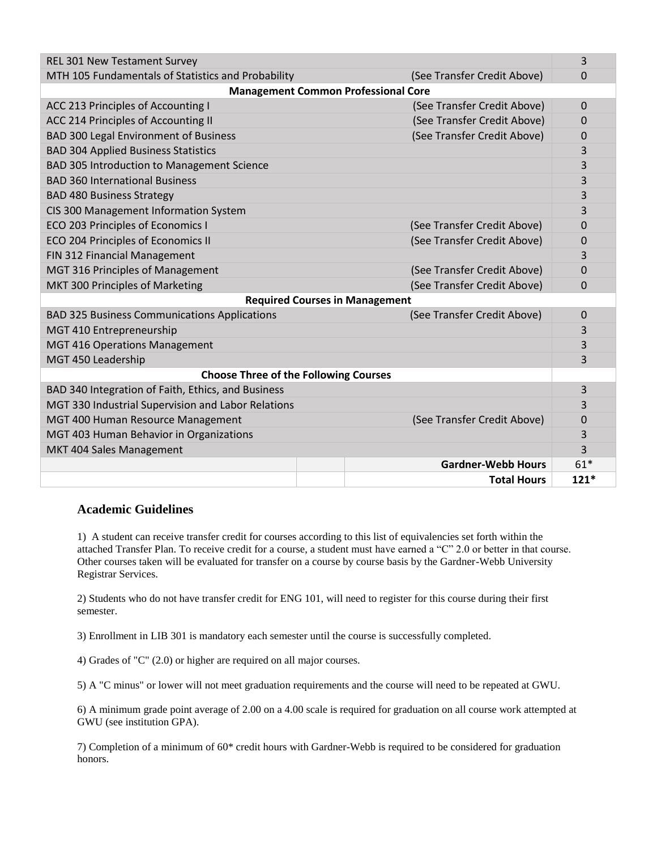| <b>REL 301 New Testament Survey</b>                 |  |                             | 3           |  |  |
|-----------------------------------------------------|--|-----------------------------|-------------|--|--|
| MTH 105 Fundamentals of Statistics and Probability  |  | (See Transfer Credit Above) | 0           |  |  |
| <b>Management Common Professional Core</b>          |  |                             |             |  |  |
| ACC 213 Principles of Accounting I                  |  | (See Transfer Credit Above) | 0           |  |  |
| ACC 214 Principles of Accounting II                 |  | (See Transfer Credit Above) | 0           |  |  |
| <b>BAD 300 Legal Environment of Business</b>        |  | (See Transfer Credit Above) | 0           |  |  |
| <b>BAD 304 Applied Business Statistics</b>          |  |                             | 3           |  |  |
| BAD 305 Introduction to Management Science          |  |                             | 3           |  |  |
| <b>BAD 360 International Business</b>               |  |                             | 3           |  |  |
| <b>BAD 480 Business Strategy</b>                    |  |                             | 3           |  |  |
| CIS 300 Management Information System               |  |                             | 3           |  |  |
| ECO 203 Principles of Economics I                   |  | (See Transfer Credit Above) | 0           |  |  |
| ECO 204 Principles of Economics II                  |  | (See Transfer Credit Above) | 0           |  |  |
| FIN 312 Financial Management                        |  |                             | 3           |  |  |
| MGT 316 Principles of Management                    |  | (See Transfer Credit Above) | 0           |  |  |
| MKT 300 Principles of Marketing                     |  | (See Transfer Credit Above) | 0           |  |  |
| <b>Required Courses in Management</b>               |  |                             |             |  |  |
| <b>BAD 325 Business Communications Applications</b> |  | (See Transfer Credit Above) | $\mathbf 0$ |  |  |
| MGT 410 Entrepreneurship                            |  |                             | 3           |  |  |
| <b>MGT 416 Operations Management</b>                |  |                             | 3           |  |  |
| MGT 450 Leadership                                  |  |                             | 3           |  |  |
| <b>Choose Three of the Following Courses</b>        |  |                             |             |  |  |
| BAD 340 Integration of Faith, Ethics, and Business  |  |                             | 3           |  |  |
| MGT 330 Industrial Supervision and Labor Relations  |  |                             | 3           |  |  |
| MGT 400 Human Resource Management                   |  | (See Transfer Credit Above) | 0           |  |  |
| MGT 403 Human Behavior in Organizations             |  |                             | 3           |  |  |
| MKT 404 Sales Management                            |  |                             | 3           |  |  |
|                                                     |  | <b>Gardner-Webb Hours</b>   | $61*$       |  |  |
|                                                     |  | <b>Total Hours</b>          | $121*$      |  |  |

## **Academic Guidelines**

1) A student can receive transfer credit for courses according to this list of equivalencies set forth within the attached Transfer Plan. To receive credit for a course, a student must have earned a "C" 2.0 or better in that course. Other courses taken will be evaluated for transfer on a course by course basis by the Gardner-Webb University Registrar Services.

2) Students who do not have transfer credit for ENG 101, will need to register for this course during their first semester.

3) Enrollment in LIB 301 is mandatory each semester until the course is successfully completed.

4) Grades of "C" (2.0) or higher are required on all major courses.

5) A "C minus" or lower will not meet graduation requirements and the course will need to be repeated at GWU.

6) A minimum grade point average of 2.00 on a 4.00 scale is required for graduation on all course work attempted at GWU (see institution GPA).

7) Completion of a minimum of 60\* credit hours with Gardner-Webb is required to be considered for graduation honors.